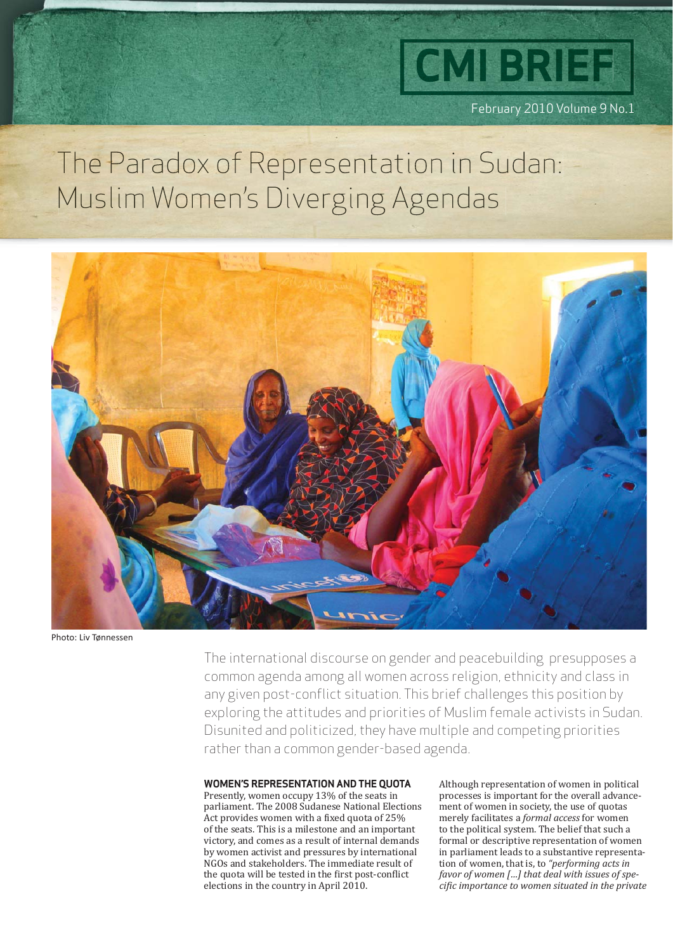

February 2010 Volume 9 No.1

## The Paradox of Representation in Sudan: Muslim Women's Diverging Agendas



Photo: Liv Tønnessen

The international discourse on gender and peacebuilding presupposes a common agenda among all women across religion, ethnicity and class in any given post-conflict situation. This brief challenges this position by exploring the attitudes and priorities of Muslim female activists in Sudan. Disunited and politicized, they have multiple and competing priorities rather than a common gender-based agenda.

#### **WOMEN'S REPRESENTATION AND THE QUOTA**

Presently, women occupy 13% of the seats in parliament. The 2008 Sudanese National Elections Act provides women with a fixed quota of 25% of the seats. This is a milestone and an important victory, and comes as a result of internal demands by women activist and pressures by international NGOs and stakeholders. The immediate result of the quota will be tested in the first post-conflict elections in the country in April 2010.

Although representation of women in political processes is important for the overall advancement of women in society, the use of quotas merely facilitates a *formal access* for women to the political system. The belief that such a formal or descriptive representation of women in parliament leads to a substantive representation of women, that is, to *"performing acts in favor of women […] that deal with issues of speciϔic importance to women situated in the private*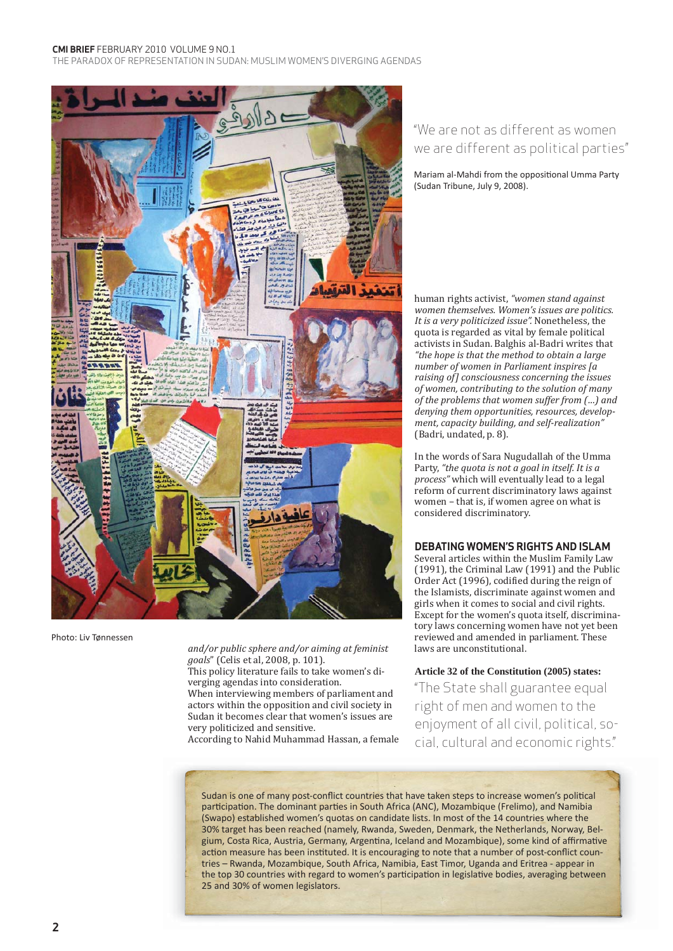#### **CMI BRIEF** FEBRUARY 2010 VOLUME 9 NO.1

THE PARADOX OF REPRESENTATION IN SUDAN: MUSLIM WOMEN'S DIVERGING AGENDAS



Photo: Liv Tønnessen

*and/or public sphere and/or aiming at feminist goals*" (Celis et al, 2008, p. 101). This policy literature fails to take women's diverging agendas into consideration. When interviewing members of parliament and actors within the opposition and civil society in Sudan it becomes clear that women's issues are very politicized and sensitive. According to Nahid Muhammad Hassan, a female

### "We are not as different as women we are different as political parties"

Mariam al-Mahdi from the oppositional Umma Party (Sudan Tribune, July 9, 2008).

human rights activist, *"women stand against women themselves. Women's issues are politics. It is a very politicized issue".* Nonetheless, the quota is regarded as vital by female political activists in Sudan. Balghis al-Badri writes that *"the hope is that the method to obtain a large number of women in Parliament inspires [a raising of] consciousness concerning the issues of women, contributing to the solution of many of the problems that women suffer from (…) and denying them opportunities, resources, development, capacity building, and self-realization"*  (Badri, undated, p. 8).

In the words of Sara Nugudallah of the Umma Party, *"the quota is not a goal in itself. It is a process"* which will eventually lead to a legal reform of current discriminatory laws against women – that is, if women agree on what is considered discriminatory.

#### **DEBATING WOMEN'S RIGHTS AND ISLAM**

Several articles within the Muslim Family Law (1991), the Criminal Law (1991) and the Public Order Act (1996), codified during the reign of the Islamists, discriminate against women and girls when it comes to social and civil rights. Except for the women's quota itself, discriminatory laws concerning women have not yet been reviewed and amended in parliament. These laws are unconstitutional.

#### **Article 32 of the Constitution (2005) states:**

"The State shall guarantee equal right of men and women to the enjoyment of all civil, political, social, cultural and economic rights."

Sudan is one of many post-conflict countries that have taken steps to increase women's political participation. The dominant parties in South Africa (ANC), Mozambique (Frelimo), and Namibia (Swapo) established women's quotas on candidate lists. In most of the 14 countries where the 30% target has been reached (namely, Rwanda, Sweden, Denmark, the Netherlands, Norway, Belgium, Costa Rica, Austria, Germany, Argentina, Iceland and Mozambique), some kind of affirmative action measure has been instituted. It is encouraging to note that a number of post-conflict countries – Rwanda, Mozambique, South Africa, Namibia, East Timor, Uganda and Eritrea - appear in the top 30 countries with regard to women's participation in legislative bodies, averaging between 25 and 30% of women legislators.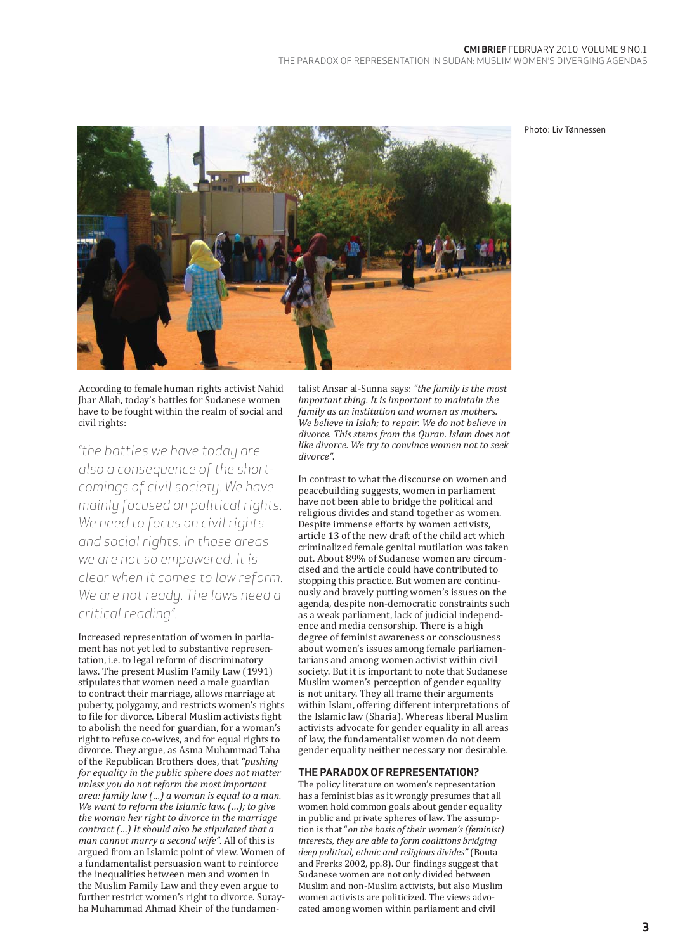Photo: Liv Tønnessen



According to female human rights activist Nahid Jbar Allah, today's battles for Sudanese women have to be fought within the realm of social and civil rights:

*"the battles we have today are also a consequence of the shortcomings of civil society. We have mainly focused on political rights. We need to focus on civil rights and social rights. In those areas we are not so empowered. It is clear when it comes to law reform. We are not ready. The laws need a critical reading"*.

Increased representation of women in parliament has not yet led to substantive representation, i.e. to legal reform of discriminatory laws. The present Muslim Family Law (1991) stipulates that women need a male guardian to contract their marriage, allows marriage at puberty, polygamy, and restricts women's rights to file for divorce. Liberal Muslim activists fight to abolish the need for guardian, for a woman's right to refuse co-wives, and for equal rights to divorce. They argue, as Asma Muhammad Taha of the Republican Brothers does, that *"pushing for equality in the public sphere does not matter unless you do not reform the most important area: family law (…) a woman is equal to a man. We want to reform the Islamic law. (…); to give the woman her right to divorce in the marriage contract (…) It should also be stipulated that a man cannot marry a second wife"*. All of this is argued from an Islamic point of view. Women of a fundamentalist persuasion want to reinforce the inequalities between men and women in the Muslim Family Law and they even argue to further restrict women's right to divorce. Surayha Muhammad Ahmad Kheir of the fundamen-

talist Ansar al-Sunna says: *"the family is the most important thing. It is important to maintain the family as an institution and women as mothers. We believe in Islah; to repair. We do not believe in divorce. This stems from the Quran. Islam does not like divorce. We try to convince women not to seek divorce"*.

In contrast to what the discourse on women and peacebuilding suggests, women in parliament have not been able to bridge the political and religious divides and stand together as women. Despite immense efforts by women activists, article 13 of the new draft of the child act which criminalized female genital mutilation was taken out. About 89% of Sudanese women are circumcised and the article could have contributed to stopping this practice. But women are continuously and bravely putting women's issues on the agenda, despite non-democratic constraints such as a weak parliament, lack of judicial independence and media censorship. There is a high degree of feminist awareness or consciousness about women's issues among female parliamentarians and among women activist within civil society. But it is important to note that Sudanese Muslim women's perception of gender equality is not unitary. They all frame their arguments within Islam, offering different interpretations of the Islamic law (Sharia). Whereas liberal Muslim activists advocate for gender equality in all areas of law, the fundamentalist women do not deem gender equality neither necessary nor desirable.

#### **THE PARADOX OF REPRESENTATION?**

The policy literature on women's representation has a feminist bias as it wrongly presumes that all women hold common goals about gender equality in public and private spheres of law. The assumption is that "*on the basis of their women's (feminist) interests, they are able to form coalitions bridging deep political, ethnic and religious divides"* (Bouta and Frerks 2002, pp.8). Our findings suggest that Sudanese women are not only divided between Muslim and non-Muslim activists, but also Muslim women activists are politicized. The views advocated among women within parliament and civil